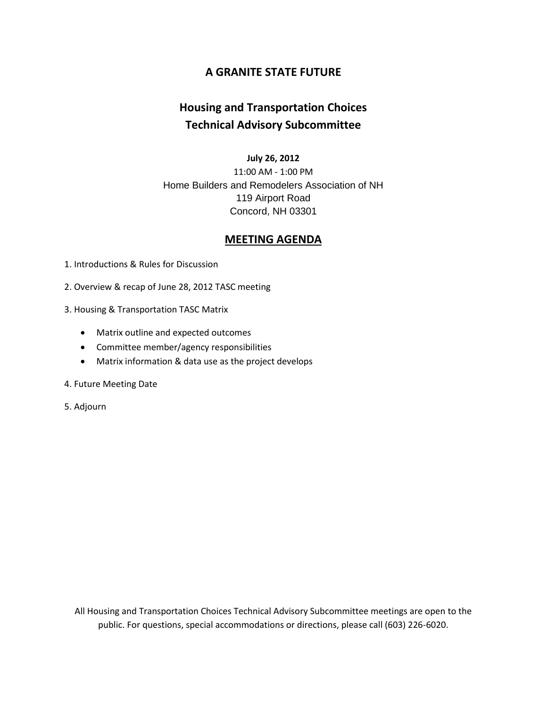### **A GRANITE STATE FUTURE**

### **Housing and Transportation Choices Technical Advisory Subcommittee**

#### **July 26, 2012**

11:00 AM - 1:00 PM Home Builders and Remodelers Association of NH 119 Airport Road Concord, NH 03301

### **MEETING AGENDA**

1. Introductions & Rules for Discussion

2. Overview & recap of June 28, 2012 TASC meeting

3. Housing & Transportation TASC Matrix

- Matrix outline and expected outcomes
- Committee member/agency responsibilities
- Matrix information & data use as the project develops

#### 4. Future Meeting Date

5. Adjourn

All Housing and Transportation Choices Technical Advisory Subcommittee meetings are open to the public. For questions, special accommodations or directions, please call (603) 226-6020.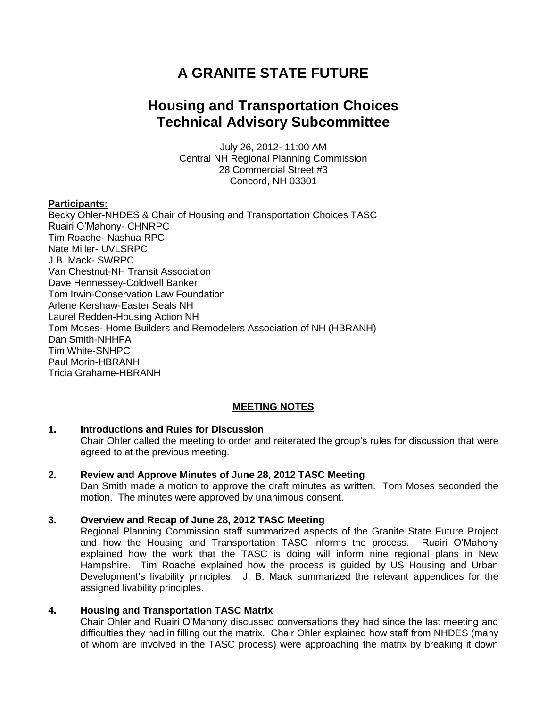# **A GRANITE STATE FUTURE**

## **Housing and Transportation Choices Technical Advisory Subcommittee**

July 26, 2012- 11:00 AM Central NH Regional Planning Commission 28 Commercial Street #3 Concord, NH 03301

#### **Participants:**

Becky Ohler-NHDES & Chair of Housing and Transportation Choices TASC Ruairi O'Mahony- CHNRPC Tim Roache- Nashua RPC Nate Miller- UVLSRPC J.B. Mack- SWRPC Van Chestnut-NH Transit Association Dave Hennessey-Coldwell Banker Tom Irwin-Conservation Law Foundation Arlene Kershaw-Easter Seals NH Laurel Redden-Housing Action NH Tom Moses- Home Builders and Remodelers Association of NH (HBRANH) Dan Smith-NHHFA Tim White-SNHPC Paul Morin-HBRANH Tricia Grahame-HBRANH

#### **MEETING NOTES**

#### **1. Introductions and Rules for Discussion**

Chair Ohler called the meeting to order and reiterated the group's rules for discussion that were agreed to at the previous meeting.

#### **2. Review and Approve Minutes of June 28, 2012 TASC Meeting**

Dan Smith made a motion to approve the draft minutes as written. Tom Moses seconded the motion. The minutes were approved by unanimous consent.

#### **3. Overview and Recap of June 28, 2012 TASC Meeting**

Regional Planning Commission staff summarized aspects of the Granite State Future Project and how the Housing and Transportation TASC informs the process. Ruairi O'Mahony explained how the work that the TASC is doing will inform nine regional plans in New Hampshire. Tim Roache explained how the process is guided by US Housing and Urban Development's livability principles. J. B. Mack summarized the relevant appendices for the assigned livability principles.

#### **4. Housing and Transportation TASC Matrix**

Chair Ohler and Ruairi O'Mahony discussed conversations they had since the last meeting and difficulties they had in filling out the matrix. Chair Ohler explained how staff from NHDES (many of whom are involved in the TASC process) were approaching the matrix by breaking it down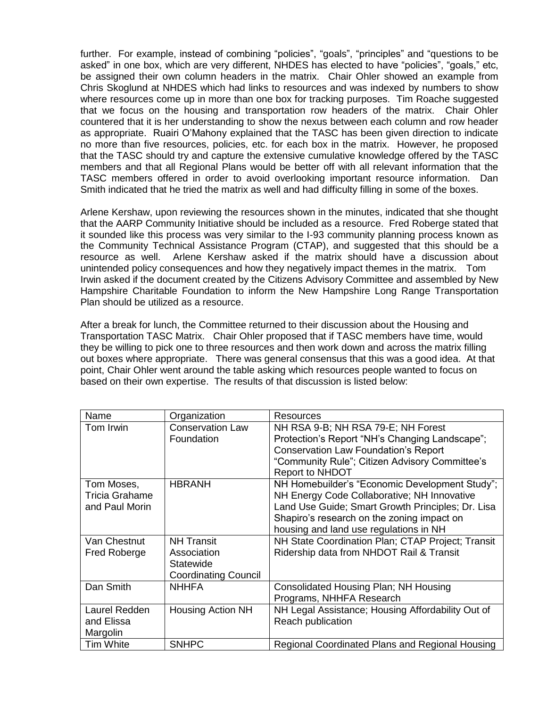further. For example, instead of combining "policies", "goals", "principles" and "questions to be asked" in one box, which are very different, NHDES has elected to have "policies", "goals," etc, be assigned their own column headers in the matrix. Chair Ohler showed an example from Chris Skoglund at NHDES which had links to resources and was indexed by numbers to show where resources come up in more than one box for tracking purposes. Tim Roache suggested that we focus on the housing and transportation row headers of the matrix. Chair Ohler countered that it is her understanding to show the nexus between each column and row header as appropriate. Ruairi O'Mahony explained that the TASC has been given direction to indicate no more than five resources, policies, etc. for each box in the matrix. However, he proposed that the TASC should try and capture the extensive cumulative knowledge offered by the TASC members and that all Regional Plans would be better off with all relevant information that the TASC members offered in order to avoid overlooking important resource information. Dan Smith indicated that he tried the matrix as well and had difficulty filling in some of the boxes.

Arlene Kershaw, upon reviewing the resources shown in the minutes, indicated that she thought that the AARP Community Initiative should be included as a resource. Fred Roberge stated that it sounded like this process was very similar to the I-93 community planning process known as the Community Technical Assistance Program (CTAP), and suggested that this should be a resource as well. Arlene Kershaw asked if the matrix should have a discussion about unintended policy consequences and how they negatively impact themes in the matrix. Tom Irwin asked if the document created by the Citizens Advisory Committee and assembled by New Hampshire Charitable Foundation to inform the New Hampshire Long Range Transportation Plan should be utilized as a resource.

After a break for lunch, the Committee returned to their discussion about the Housing and Transportation TASC Matrix. Chair Ohler proposed that if TASC members have time, would they be willing to pick one to three resources and then work down and across the matrix filling out boxes where appropriate. There was general consensus that this was a good idea. At that point, Chair Ohler went around the table asking which resources people wanted to focus on based on their own expertise. The results of that discussion is listed below:

| Name                  | Organization                | Resources                                         |
|-----------------------|-----------------------------|---------------------------------------------------|
| Tom Irwin             | <b>Conservation Law</b>     | NH RSA 9-B; NH RSA 79-E; NH Forest                |
|                       | Foundation                  | Protection's Report "NH's Changing Landscape";    |
|                       |                             | <b>Conservation Law Foundation's Report</b>       |
|                       |                             | "Community Rule"; Citizen Advisory Committee's    |
|                       |                             | <b>Report to NHDOT</b>                            |
| Tom Moses,            | <b>HBRANH</b>               | NH Homebuilder's "Economic Development Study";    |
| <b>Tricia Grahame</b> |                             | NH Energy Code Collaborative; NH Innovative       |
| and Paul Morin        |                             | Land Use Guide; Smart Growth Principles; Dr. Lisa |
|                       |                             | Shapiro's research on the zoning impact on        |
|                       |                             | housing and land use regulations in NH            |
| Van Chestnut          | <b>NH Transit</b>           | NH State Coordination Plan; CTAP Project; Transit |
| <b>Fred Roberge</b>   | Association                 | Ridership data from NHDOT Rail & Transit          |
|                       | Statewide                   |                                                   |
|                       | <b>Coordinating Council</b> |                                                   |
| Dan Smith             | <b>NHHFA</b>                | Consolidated Housing Plan; NH Housing             |
|                       |                             | Programs, NHHFA Research                          |
| Laurel Redden         | <b>Housing Action NH</b>    | NH Legal Assistance; Housing Affordability Out of |
| and Elissa            |                             | Reach publication                                 |
| Margolin              |                             |                                                   |
| <b>Tim White</b>      | <b>SNHPC</b>                | Regional Coordinated Plans and Regional Housing   |